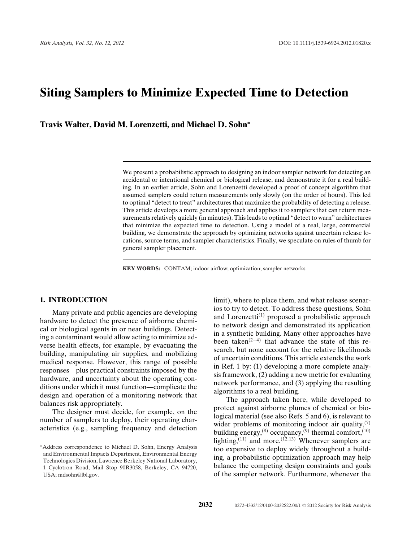# **Siting Samplers to Minimize Expected Time to Detection**

**Travis Walter, David M. Lorenzetti, and Michael D. Sohn<sup>∗</sup>**

We present a probabilistic approach to designing an indoor sampler network for detecting an accidental or intentional chemical or biological release, and demonstrate it for a real building. In an earlier article, Sohn and Lorenzetti developed a proof of concept algorithm that assumed samplers could return measurements only slowly (on the order of hours). This led to optimal "detect to treat" architectures that maximize the probability of detecting a release. This article develops a more general approach and applies it to samplers that can return measurements relatively quickly (in minutes). This leads to optimal "detect to warn" architectures that minimize the expected time to detection. Using a model of a real, large, commercial building, we demonstrate the approach by optimizing networks against uncertain release locations, source terms, and sampler characteristics. Finally, we speculate on rules of thumb for general sampler placement.

**KEY WORDS:** CONTAM; indoor airflow; optimization; sampler networks

## **1. INTRODUCTION**

Many private and public agencies are developing hardware to detect the presence of airborne chemical or biological agents in or near buildings. Detecting a contaminant would allow acting to minimize adverse health effects, for example, by evacuating the building, manipulating air supplies, and mobilizing medical response. However, this range of possible responses—plus practical constraints imposed by the hardware, and uncertainty about the operating conditions under which it must function—complicate the design and operation of a monitoring network that balances risk appropriately.

The designer must decide, for example, on the number of samplers to deploy, their operating characteristics (e.g., sampling frequency and detection limit), where to place them, and what release scenarios to try to detect. To address these questions, Sohn and Lorenzetti<sup> $(1)$ </sup> proposed a probabilistic approach to network design and demonstrated its application in a synthetic building. Many other approaches have been taken<sup> $(2-4)$ </sup> that advance the state of this research, but none account for the relative likelihoods of uncertain conditions. This article extends the work in Ref. 1 by: (1) developing a more complete analysis framework, (2) adding a new metric for evaluating network performance, and (3) applying the resulting algorithms to a real building.

The approach taken here, while developed to protect against airborne plumes of chemical or biological material (see also Refs. 5 and 6), is relevant to wider problems of monitoring indoor air quality, $(7)$ building energy,<sup>(8)</sup> occupancy,<sup>(9)</sup> thermal comfort,<sup>(10)</sup> lighting, $(11)$  and more. $(12,13)$  Whenever samplers are too expensive to deploy widely throughout a building, a probabilistic optimization approach may help balance the competing design constraints and goals of the sampler network. Furthermore, whenever the

<sup>∗</sup>Address correspondence to Michael D. Sohn, Energy Analysis and Environmental Impacts Department, Environmental Energy Technologies Division, Lawrence Berkeley National Laboratory, 1 Cyclotron Road, Mail Stop 90R3058, Berkeley, CA 94720, USA; mdsohn@lbl.gov.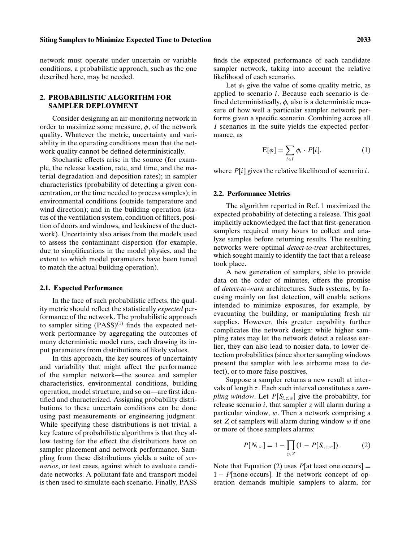#### **Siting Samplers to Minimize Expected Time to Detection 2033**

network must operate under uncertain or variable conditions, a probabilistic approach, such as the one described here, may be needed.

# **2. PROBABILISTIC ALGORITHM FOR SAMPLER DEPLOYMENT**

Consider designing an air-monitoring network in order to maximize some measure,  $\phi$ , of the network quality. Whatever the metric, uncertainty and variability in the operating conditions mean that the network quality cannot be defined deterministically.

Stochastic effects arise in the source (for example, the release location, rate, and time, and the material degradation and deposition rates); in sampler characteristics (probability of detecting a given concentration, or the time needed to process samples); in environmental conditions (outside temperature and wind direction); and in the building operation (status of the ventilation system, condition of filters, position of doors and windows, and leakiness of the ductwork). Uncertainty also arises from the models used to assess the contaminant dispersion (for example, due to simplifications in the model physics, and the extent to which model parameters have been tuned to match the actual building operation).

#### **2.1. Expected Performance**

In the face of such probabilistic effects, the quality metric should reflect the statistically *expected* performance of the network. The probabilistic approach to sampler siting  $(PASS)^{(1)}$  finds the expected network performance by aggregating the outcomes of many deterministic model runs, each drawing its input parameters from distributions of likely values.

In this approach, the key sources of uncertainty and variability that might affect the performance of the sampler network—the source and sampler characteristics, environmental conditions, building operation, model structure, and so on—are first identified and characterized. Assigning probability distributions to these uncertain conditions can be done using past measurements or engineering judgment. While specifying these distributions is not trivial, a key feature of probabilistic algorithms is that they allow testing for the effect the distributions have on sampler placement and network performance. Sampling from these distributions yields a suite of *scenarios*, or test cases, against which to evaluate candidate networks. A pollutant fate and transport model is then used to simulate each scenario. Finally, PASS

finds the expected performance of each candidate sampler network, taking into account the relative likelihood of each scenario.

Let  $\phi_i$  give the value of some quality metric, as applied to scenario *i*. Because each scenario is defined deterministically,  $\phi_i$  also is a deterministic measure of how well a particular sampler network performs given a specific scenario. Combining across all *I* scenarios in the suite yields the expected performance, as

$$
E[\phi] = \sum_{i \in I} \phi_i \cdot P[i], \tag{1}
$$

where *P*[*i*] gives the relative likelihood of scenario *i*.

#### **2.2. Performance Metrics**

The algorithm reported in Ref. 1 maximized the expected probability of detecting a release. This goal implicitly acknowledged the fact that first-generation samplers required many hours to collect and analyze samples before returning results. The resulting networks were optimal *detect-to-treat* architectures, which sought mainly to identify the fact that a release took place.

A new generation of samplers, able to provide data on the order of minutes, offers the promise of *detect-to-warn* architectures. Such systems, by focusing mainly on fast detection, will enable actions intended to minimize exposures, for example, by evacuating the building, or manipulating fresh air supplies. However, this greater capability further complicates the network design: while higher sampling rates may let the network detect a release earlier, they can also lead to noisier data, to lower detection probabilities (since shorter sampling windows present the sampler with less airborne mass to detect), or to more false positives.

Suppose a sampler returns a new result at intervals of length τ . Each such interval constitutes a *sampling window.* Let  $P[S_{i,z,w}]$  give the probability, for release scenario *i*, that sampler *z* will alarm during a particular window,  $w$ . Then a network comprising a set *Z* of samplers will alarm during window w if one or more of those samplers alarms:

$$
P[N_{i,w}] = 1 - \prod_{z \in Z} (1 - P[S_{i,z,w}]). \tag{2}
$$

Note that Equation (2) uses  $P$ [at least one occurs] = 1 − *P*[none occurs]. If the network concept of operation demands multiple samplers to alarm, for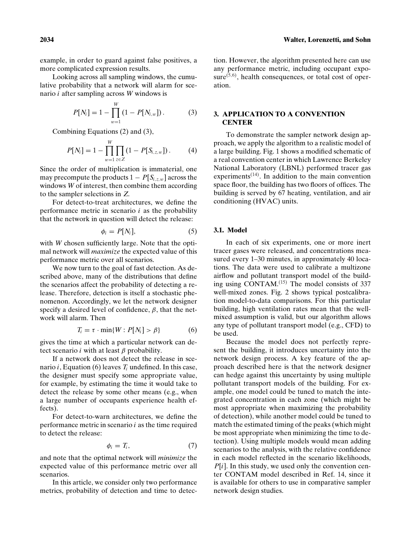example, in order to guard against false positives, a more complicated expression results.

Looking across all sampling windows, the cumulative probability that a network will alarm for scenario *i* after sampling across *W* windows is

$$
P[N_i] = 1 - \prod_{w=1}^{W} (1 - P[N_{i,w}]). \tag{3}
$$

Combining Equations (2) and (3),

$$
P[N_i] = 1 - \prod_{w=1}^{W} \prod_{z \in Z} (1 - P[S_{i,z,w}]). \tag{4}
$$

Since the order of multiplication is immaterial, one may precompute the products  $1 - P[S_{i,z,w}]$  across the windows *W* of interest, then combine them according to the sampler selections in *Z*.

For detect-to-treat architectures, we define the performance metric in scenario *i* as the probability that the network in question will detect the release:

$$
\phi_i = P[N_i],\tag{5}
$$

with *W* chosen sufficiently large. Note that the optimal network will *maximize* the expected value of this performance metric over all scenarios.

We now turn to the goal of fast detection. As described above, many of the distributions that define the scenarios affect the probability of detecting a release. Therefore, detection is itself a stochastic phenomenon. Accordingly, we let the network designer specify a desired level of confidence,  $\beta$ , that the network will alarm. Then

$$
T_i = \tau \cdot \min\{W : P[N_i] > \beta\} \tag{6}
$$

gives the time at which a particular network can detect scenario  $i$  with at least  $\beta$  probability.

If a network does not detect the release in scenario *i*, Equation (6) leaves *Ti* undefined. In this case, the designer must specify some appropriate value, for example, by estimating the time it would take to detect the release by some other means (e.g., when a large number of occupants experience health effects).

For detect-to-warn architectures, we define the performance metric in scenario *i* as the time required to detect the release:

$$
\phi_i = T_i, \tag{7}
$$

and note that the optimal network will *minimize* the expected value of this performance metric over all scenarios.

In this article, we consider only two performance metrics, probability of detection and time to detection. However, the algorithm presented here can use any performance metric, including occupant exposure<sup> $(5,6)$ </sup>, health consequences, or total cost of operation.

# **3. APPLICATION TO A CONVENTION CENTER**

To demonstrate the sampler network design approach, we apply the algorithm to a realistic model of a large building. Fig. 1 shows a modified schematic of a real convention center in which Lawrence Berkeley National Laboratory (LBNL) performed tracer gas experiments $(14)$ . In addition to the main convention space floor, the building has two floors of offices. The building is served by 67 heating, ventilation, and air conditioning (HVAC) units.

# **3.1. Model**

In each of six experiments, one or more inert tracer gases were released, and concentrations measured every 1–30 minutes, in approximately 40 locations. The data were used to calibrate a multizone airflow and pollutant transport model of the building using CONTAM. $^{(15)}$  The model consists of 337 well-mixed zones. Fig. 2 shows typical postcalibration model-to-data comparisons. For this particular building, high ventilation rates mean that the wellmixed assumption is valid, but our algorithm allows any type of pollutant transport model (e.g., CFD) to be used.

Because the model does not perfectly represent the building, it introduces uncertainty into the network design process. A key feature of the approach described here is that the network designer can hedge against this uncertainty by using multiple pollutant transport models of the building. For example, one model could be tuned to match the integrated concentration in each zone (which might be most appropriate when maximizing the probability of detection), while another model could be tuned to match the estimated timing of the peaks (which might be most appropriate when minimizing the time to detection). Using multiple models would mean adding scenarios to the analysis, with the relative confidence in each model reflected in the scenario likelihoods,  $P[i]$ . In this study, we used only the convention center CONTAM model described in Ref. 14, since it is available for others to use in comparative sampler network design studies.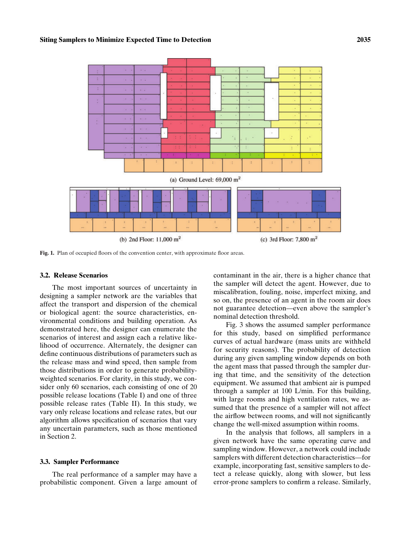

**Fig. 1.** Plan of occupied floors of the convention center, with approximate floor areas.

## **3.2. Release Scenarios**

The most important sources of uncertainty in designing a sampler network are the variables that affect the transport and dispersion of the chemical or biological agent: the source characteristics, environmental conditions and building operation. As demonstrated here, the designer can enumerate the scenarios of interest and assign each a relative likelihood of occurrence. Alternately, the designer can define continuous distributions of parameters such as the release mass and wind speed, then sample from those distributions in order to generate probabilityweighted scenarios. For clarity, in this study, we consider only 60 scenarios, each consisting of one of 20 possible release locations (Table I) and one of three possible release rates (Table II). In this study, we vary only release locations and release rates, but our algorithm allows specification of scenarios that vary any uncertain parameters, such as those mentioned in Section 2.

#### **3.3. Sampler Performance**

The real performance of a sampler may have a probabilistic component. Given a large amount of contaminant in the air, there is a higher chance that the sampler will detect the agent. However, due to miscalibration, fouling, noise, imperfect mixing, and so on, the presence of an agent in the room air does not guarantee detection—even above the sampler's nominal detection threshold.

Fig. 3 shows the assumed sampler performance for this study, based on simplified performance curves of actual hardware (mass units are withheld for security reasons). The probability of detection during any given sampling window depends on both the agent mass that passed through the sampler during that time, and the sensitivity of the detection equipment. We assumed that ambient air is pumped through a sampler at 100 L/min. For this building, with large rooms and high ventilation rates, we assumed that the presence of a sampler will not affect the airflow between rooms, and will not significantly change the well-mixed assumption within rooms.

In the analysis that follows, all samplers in a given network have the same operating curve and sampling window. However, a network could include samplers with different detection characteristics—for example, incorporating fast, sensitive samplers to detect a release quickly, along with slower, but less error-prone samplers to confirm a release. Similarly,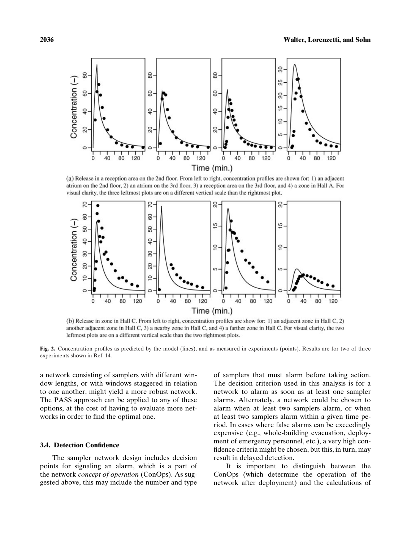

(a) Release in a reception area on the 2nd floor. From left to right, concentration profiles are shown for: 1) an adjacent atrium on the 2nd floor, 2) an atrium on the 3rd floor, 3) a reception area on the 3rd floor, and 4) a zone in Hall A. For visual clarity, the three leftmost plots are on a different vertical scale than the rightmost plot.



(b) Release in zone in Hall C. From left to right, concentration profiles are show for: 1) an adjacent zone in Hall C, 2) another adjacent zone in Hall C, 3) a nearby zone in Hall C, and 4) a farther zone in Hall C. For visual clarity, the two leftmost plots are on a different vertical scale than the two rightmost plots.

**Fig. 2.** Concentration profiles as predicted by the model (lines), and as measured in experiments (points). Results are for two of three experiments shown in Ref. 14.

a network consisting of samplers with different window lengths, or with windows staggered in relation to one another, might yield a more robust network. The PASS approach can be applied to any of these options, at the cost of having to evaluate more networks in order to find the optimal one.

# **3.4. Detection Confidence**

The sampler network design includes decision points for signaling an alarm, which is a part of the network *concept of operation* (ConOps). As suggested above, this may include the number and type of samplers that must alarm before taking action. The decision criterion used in this analysis is for a network to alarm as soon as at least one sampler alarms. Alternately, a network could be chosen to alarm when at least two samplers alarm, or when at least two samplers alarm within a given time period. In cases where false alarms can be exceedingly expensive (e.g., whole-building evacuation, deployment of emergency personnel, etc.), a very high confidence criteria might be chosen, but this, in turn, may result in delayed detection.

It is important to distinguish between the ConOps (which determine the operation of the network after deployment) and the calculations of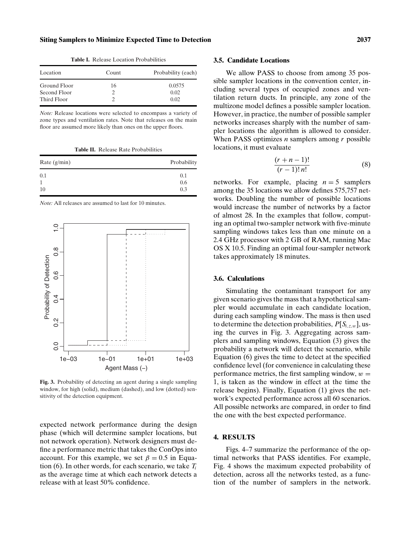#### **Siting Samplers to Minimize Expected Time to Detection 2037**

**Table I.** Release Location Probabilities

| Location                     | Count | Probability (each) |
|------------------------------|-------|--------------------|
| Ground Floor<br>Second Floor | 16    | 0.0575<br>0.02     |
| Third Floor                  |       | 0.02               |

*Note:* Release locations were selected to encompass a variety of zone types and ventilation rates. Note that releases on the main floor are assumed more likely than ones on the upper floors.

**Table II.** Release Rate Probabilities

| Rate $(g/min)$ | Probability |  |
|----------------|-------------|--|
| 0.1            | 0.1         |  |
|                | 0.6         |  |
| 10             | 0.3         |  |

*Note:* All releases are assumed to last for 10 minutes.



**Fig. 3.** Probability of detecting an agent during a single sampling window, for high (solid), medium (dashed), and low (dotted) sensitivity of the detection equipment.

expected network performance during the design phase (which will determine sampler locations, but not network operation). Network designers must define a performance metric that takes the ConOps into account. For this example, we set  $\beta = 0.5$  in Equation (6). In other words, for each scenario, we take *Ti* as the average time at which each network detects a release with at least 50% confidence.

#### **3.5. Candidate Locations**

We allow PASS to choose from among 35 possible sampler locations in the convention center, including several types of occupied zones and ventilation return ducts. In principle, any zone of the multizone model defines a possible sampler location. However, in practice, the number of possible sampler networks increases sharply with the number of sampler locations the algorithm is allowed to consider. When PASS optimizes *n* samplers among *r* possible locations, it must evaluate

$$
\frac{(r+n-1)!}{(r-1)!n!} \tag{8}
$$

networks. For example, placing  $n = 5$  samplers among the 35 locations we allow defines 575,757 networks. Doubling the number of possible locations would increase the number of networks by a factor of almost 28. In the examples that follow, computing an optimal two-sampler network with five-minute sampling windows takes less than one minute on a 2.4 GHz processor with 2 GB of RAM, running Mac OS X 10.5. Finding an optimal four-sampler network takes approximately 18 minutes.

# **3.6. Calculations**

Simulating the contaminant transport for any given scenario gives the mass that a hypothetical sampler would accumulate in each candidate location, during each sampling window. The mass is then used to determine the detection probabilities,  $P[S_{i,z,w}]$ , using the curves in Fig. 3. Aggregating across samplers and sampling windows, Equation (3) gives the probability a network will detect the scenario, while Equation (6) gives the time to detect at the specified confidence level (for convenience in calculating these performance metrics, the first sampling window,  $w =$ 1, is taken as the window in effect at the time the release begins). Finally, Equation (1) gives the network's expected performance across all 60 scenarios. All possible networks are compared, in order to find the one with the best expected performance.

## **4. RESULTS**

Figs. 4–7 summarize the performance of the optimal networks that PASS identifies. For example, Fig. 4 shows the maximum expected probability of detection, across all the networks tested, as a function of the number of samplers in the network.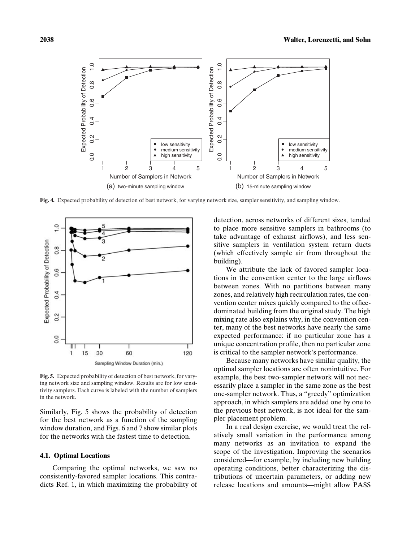

**Fig. 4.** Expected probability of detection of best network, for varying network size, sampler sensitivity, and sampling window.



**Fig. 5.** Expected probability of detection of best network, for varying network size and sampling window. Results are for low sensitivity samplers. Each curve is labeled with the number of samplers in the network.

Similarly, Fig. 5 shows the probability of detection for the best network as a function of the sampling window duration, and Figs. 6 and 7 show similar plots for the networks with the fastest time to detection.

## **4.1. Optimal Locations**

Comparing the optimal networks, we saw no consistently-favored sampler locations. This contradicts Ref. 1, in which maximizing the probability of detection, across networks of different sizes, tended to place more sensitive samplers in bathrooms (to take advantage of exhaust airflows), and less sensitive samplers in ventilation system return ducts (which effectively sample air from throughout the building).

We attribute the lack of favored sampler locations in the convention center to the large airflows between zones. With no partitions between many zones, and relatively high recirculation rates, the convention center mixes quickly compared to the officedominated building from the original study. The high mixing rate also explains why, in the convention center, many of the best networks have nearly the same expected performance: if no particular zone has a unique concentration profile, then no particular zone is critical to the sampler network's performance.

Because many networks have similar quality, the optimal sampler locations are often nonintuitive. For example, the best two-sampler network will not necessarily place a sampler in the same zone as the best one-sampler network. Thus, a "greedy" optimization approach, in which samplers are added one by one to the previous best network, is not ideal for the sampler placement problem.

In a real design exercise, we would treat the relatively small variation in the performance among many networks as an invitation to expand the scope of the investigation. Improving the scenarios considered—for example, by including new building operating conditions, better characterizing the distributions of uncertain parameters, or adding new release locations and amounts—might allow PASS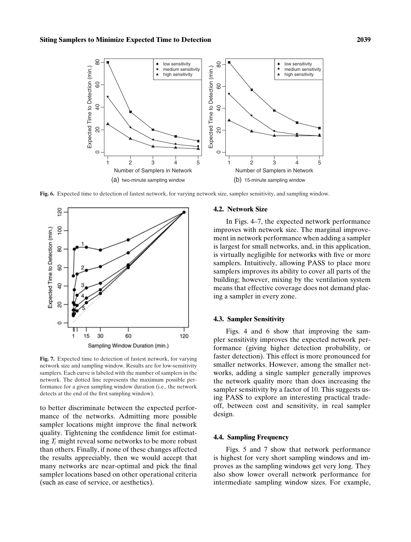

**Fig. 6.** Expected time to detection of fastest network, for varying network size, sampler sensitivity, and sampling window.



**Fig. 7.** Expected time to detection of fastest network, for varying network size and sampling window. Results are for low-sensitivity samplers. Each curve is labeled with the number of samplers in the network. The dotted line represents the maximum possible performance for a given sampling window duration (i.e., the network detects at the end of the first sampling window).

to better discriminate between the expected performance of the networks. Admitting more possible sampler locations might improve the final network quality. Tightening the confidence limit for estimating *Ti* might reveal some networks to be more robust than others. Finally, if none of these changes affected the results appreciably, then we would accept that many networks are near-optimal and pick the final sampler locations based on other operational criteria (such as ease of service, or aesthetics).

#### **4.2. Network Size**

In Figs. 4–7, the expected network performance improves with network size. The marginal improvement in network performance when adding a sampler is largest for small networks, and, in this application, is virtually negligible for networks with five or more samplers. Intuitively, allowing PASS to place more samplers improves its ability to cover all parts of the building; however, mixing by the ventilation system means that effective coverage does not demand placing a sampler in every zone.

## **4.3. Sampler Sensitivity**

Figs. 4 and 6 show that improving the sampler sensitivity improves the expected network performance (giving higher detection probability, or faster detection). This effect is more pronounced for smaller networks. However, among the smaller networks, adding a single sampler generally improves the network quality more than does increasing the sampler sensitivity by a factor of 10. This suggests using PASS to explore an interesting practical tradeoff, between cost and sensitivity, in real sampler design.

#### **4.4. Sampling Frequency**

Figs. 5 and 7 show that network performance is highest for very short sampling windows and improves as the sampling windows get very long. They also show lower overall network performance for intermediate sampling window sizes. For example,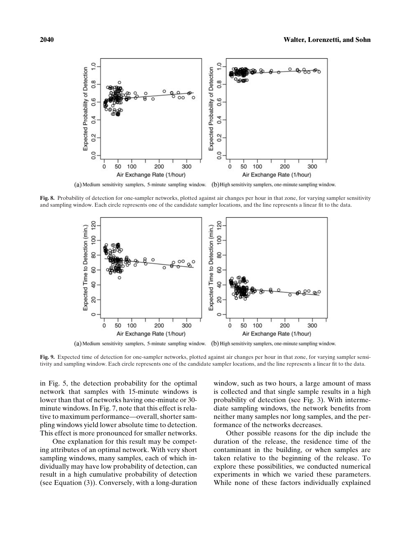$1.0$  $\overline{a}$ Expected Probability of Detection Expected Probability of Detection  $0.8$  $0.8$ 0.6  $0.6$  $0.4$  $0.4$  $0.2$  $0.2$  $0.0$  $0.0$ 200 300 200  $\mathbf 0$ 50 100  $\overline{0}$ 50 100 300 Air Exchange Rate (1/hour) Air Exchange Rate (1/hour)

(a) Medium sensitivity samplers, 5-minute sampling window. (b) High sensitivity samplers, one-minute sampling window.

**Fig. 8.** Probability of detection for one-sampler networks, plotted against air changes per hour in that zone, for varying sampler sensitivity and sampling window. Each circle represents one of the candidate sampler locations, and the line represents a linear fit to the data.



(a) Medium sensitivity samplers, 5-minute sampling window. (b) High sensitivity samplers, one-minute sampling window.

**Fig. 9.** Expected time of detection for one-sampler networks, plotted against air changes per hour in that zone, for varying sampler sensitivity and sampling window. Each circle represents one of the candidate sampler locations, and the line represents a linear fit to the data.

in Fig. 5, the detection probability for the optimal network that samples with 15-minute windows is lower than that of networks having one-minute or 30 minute windows. In Fig. 7, note that this effect is relative to maximum performance—overall, shorter sampling windows yield lower absolute time to detection. This effect is more pronounced for smaller networks.

One explanation for this result may be competing attributes of an optimal network. With very short sampling windows, many samples, each of which individually may have low probability of detection, can result in a high cumulative probability of detection (see Equation (3)). Conversely, with a long-duration window, such as two hours, a large amount of mass is collected and that single sample results in a high probability of detection (see Fig. 3). With intermediate sampling windows, the network benefits from neither many samples nor long samples, and the performance of the networks decreases.

Other possible reasons for the dip include the duration of the release, the residence time of the contaminant in the building, or when samples are taken relative to the beginning of the release. To explore these possibilities, we conducted numerical experiments in which we varied these parameters. While none of these factors individually explained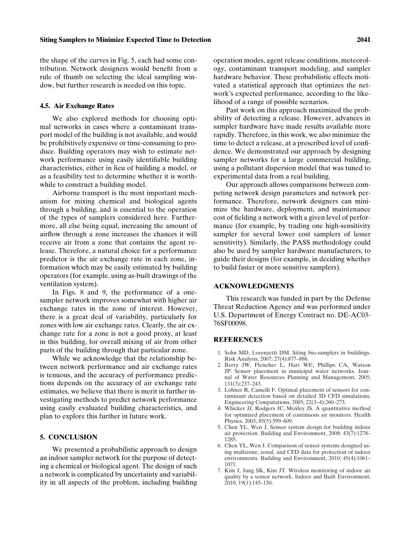the shape of the curves in Fig. 5, each had some contribution. Network designers would benefit from a rule of thumb on selecting the ideal sampling window, but further research is needed on this topic.

#### **4.5. Air Exchange Rates**

We also explored methods for choosing optimal networks in cases where a contaminant transport model of the building is not available, and would be prohibitively expensive or time-consuming to produce. Building operators may wish to estimate network performance using easily identifiable building characteristics, either in lieu of building a model, or as a feasibility test to determine whether it is worthwhile to construct a building model.

Airborne transport is the most important mechanism for mixing chemical and biological agents through a building, and is essential to the operation of the types of samplers considered here. Furthermore, all else being equal, increasing the amount of airflow through a zone increases the chances it will receive air from a zone that contains the agent release. Therefore, a natural choice for a performance predictor is the air exchange rate in each zone, information which may be easily estimated by building operators (for example, using as-built drawings of the ventilation system).

In Figs. 8 and 9, the performance of a onesampler network improves somewhat with higher air exchange rates in the zone of interest. However, there is a great deal of variability, particularly for zones with low air exchange rates. Clearly, the air exchange rate for a zone is not a good proxy, at least in this building, for overall mixing of air from other parts of the building through that particular zone.

While we acknowledge that the relationship between network performance and air exchange rates is tenuous, and the accuracy of performance predictions depends on the accuracy of air exchange rate estimates, we believe that there is merit in further investigating methods to predict network performance using easily evaluated building characteristics, and plan to explore this further in future work.

## **5. CONCLUSION**

We presented a probabilistic approach to design an indoor sampler network for the purpose of detecting a chemical or biological agent. The design of such a network is complicated by uncertainty and variability in all aspects of the problem, including building operation modes, agent release conditions, meteorology, contaminant transport modeling, and sampler hardware behavior. These probabilistic effects motivated a statistical approach that optimizes the network's expected performance, according to the likelihood of a range of possible scenarios.

Past work on this approach maximized the probability of detecting a release. However, advances in sampler hardware have made results available more rapidly. Therefore, in this work, we also minimize the time to detect a release, at a prescribed level of confidence. We demonstrated our approach by designing sampler networks for a large commercial building, using a pollutant dispersion model that was tuned to experimental data from a real building.

Our approach allows comparisons between competing network design parameters and network performance. Therefore, network designers can minimize the hardware, deployment, and maintenance cost of fielding a network with a given level of performance (for example, by trading one high-sensitivity sampler for several lower cost samplers of lesser sensitivity). Similarly, the PASS methodology could also be used by sampler hardware manufacturers, to guide their designs (for example, in deciding whether to build faster or more sensitive samplers).

# **ACKNOWLEDGMENTS**

This research was funded in part by the Defense Threat Reduction Agency and was performed under U.S. Department of Energy Contract no. DE-AC03- 76SF00098.

## **REFERENCES**

- 1. Sohn MD, Lorenzetti DM. Siting bio-samplers in buildings. Risk Analysis, 2007; 27(4):877–886.
- 2. Berry JW, Fleischer L, Hart WE, Phillips CA, Watson JP. Sensor placement in municipal water networks. Journal of Water Resources Planning and Management, 2005; 131(3):237–243.
- 3. Lohner R, Camelli F. Optimal placement of sensors for contaminant detection based on detailed 3D CFD simulations. Engineering Computations, 2005; 22(3–4):260–273.
- 4. Whicker JJ, Rodgers JC, Moxley JS. A quantitative method for optimized placement of continuous air monitors. Health Physics, 2003; 85(5):599–609.
- 5. Chen YL, Wen J. Sensor system design for building indoor air protection. Building and Environment, 2008; 43(7):1278– 1285.
- 6. Chen YL, Wen J. Comparison of sensor systems designed using multizone, zonal, and CFD data for protection of indoor environments. Building and Environment, 2010; 45(4):1061– 1071.
- 7. Kim J, Jung SK, Kim JT. Wireless monitoring of indoor air quality by a sensor network. Indoor and Built Environment, 2010; 19(1):145–150.